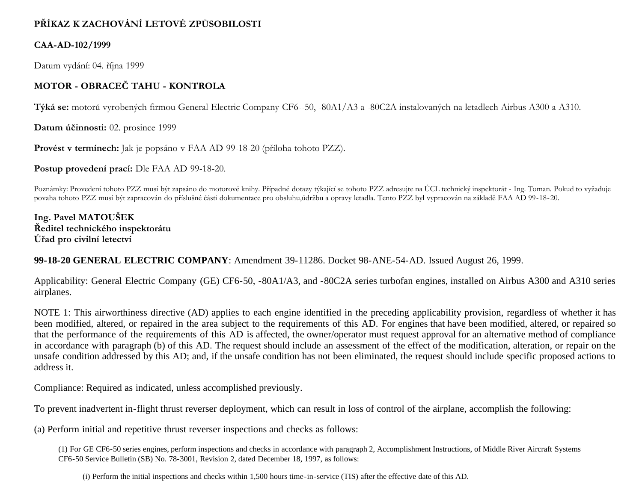# **PŘÍKAZ K ZACHOVÁNÍ LETOVÉ ZPŮSOBILOSTI**

#### **CAA-AD-102/1999**

Datum vydání: 04. října 1999

## **MOTOR - OBRACEČ TAHU - KONTROLA**

**Týká se:** motorů vyrobených firmou General Electric Company CF6--50, -80A1/A3 a -80C2A instalovaných na letadlech Airbus A300 a A310.

**Datum účinnosti:** 02. prosince 1999

**Provést v termínech:** Jak je popsáno v FAA AD 99-18-20 (příloha tohoto PZZ).

**Postup provedení prací:** Dle FAA AD 99-18-20.

Poznámky: Provedení tohoto PZZ musí být zapsáno do motorové knihy. Případné dotazy týkající se tohoto PZZ adresujte na ÚCL technický inspektorát - Ing. Toman. Pokud to vyžaduje povaha tohoto PZZ musí být zapracován do příslušné části dokumentace pro obsluhu,údržbu a opravy letadla. Tento PZZ byl vypracován na základě FAA AD 99-18-20.

**Ing. Pavel MATOUŠEK Ředitel technického inspektorátu Úřad pro civilní letectví**

## **99-18-20 GENERAL ELECTRIC COMPANY**: Amendment 39-11286. Docket 98-ANE-54-AD. Issued August 26, 1999.

Applicability: General Electric Company (GE) CF6-50, -80A1/A3, and -80C2A series turbofan engines, installed on Airbus A300 and A310 series airplanes.

NOTE 1: This airworthiness directive (AD) applies to each engine identified in the preceding applicability provision, regardless of whether it has been modified, altered, or repaired in the area subject to the requirements of this AD. For engines that have been modified, altered, or repaired so that the performance of the requirements of this AD is affected, the owner/operator must request approval for an alternative method of compliance in accordance with paragraph (b) of this AD. The request should include an assessment of the effect of the modification, alteration, or repair on the unsafe condition addressed by this AD; and, if the unsafe condition has not been eliminated, the request should include specific proposed actions to address it.

Compliance: Required as indicated, unless accomplished previously.

To prevent inadvertent in-flight thrust reverser deployment, which can result in loss of control of the airplane, accomplish the following:

(a) Perform initial and repetitive thrust reverser inspections and checks as follows:

(1) For GE CF6-50 series engines, perform inspections and checks in accordance with paragraph 2, Accomplishment Instructions, of Middle River Aircraft Systems CF6-50 Service Bulletin (SB) No. 78-3001, Revision 2, dated December 18, 1997, as follows:

(i) Perform the initial inspections and checks within 1,500 hours time-in-service (TIS) after the effective date of this AD.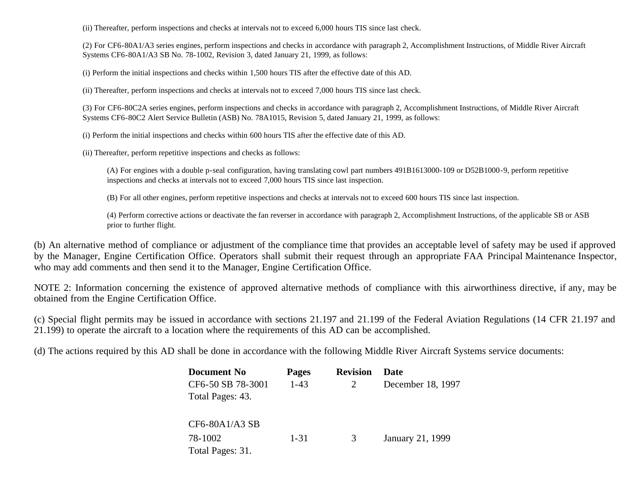(ii) Thereafter, perform inspections and checks at intervals not to exceed 6,000 hours TIS since last check.

(2) For CF6-80A1/A3 series engines, perform inspections and checks in accordance with paragraph 2, Accomplishment Instructions, of Middle River Aircraft Systems CF6-80A1/A3 SB No. 78-1002, Revision 3, dated January 21, 1999, as follows:

(i) Perform the initial inspections and checks within 1,500 hours TIS after the effective date of this AD.

(ii) Thereafter, perform inspections and checks at intervals not to exceed 7,000 hours TIS since last check.

(3) For CF6-80C2A series engines, perform inspections and checks in accordance with paragraph 2, Accomplishment Instructions, of Middle River Aircraft Systems CF6-80C2 Alert Service Bulletin (ASB) No. 78A1015, Revision 5, dated January 21, 1999, as follows:

(i) Perform the initial inspections and checks within 600 hours TIS after the effective date of this AD.

(ii) Thereafter, perform repetitive inspections and checks as follows:

(A) For engines with a double p-seal configuration, having translating cowl part numbers 491B1613000-109 or D52B1000-9, perform repetitive inspections and checks at intervals not to exceed 7,000 hours TIS since last inspection.

(B) For all other engines, perform repetitive inspections and checks at intervals not to exceed 600 hours TIS since last inspection.

(4) Perform corrective actions or deactivate the fan reverser in accordance with paragraph 2, Accomplishment Instructions, of the applicable SB or ASB prior to further flight.

(b) An alternative method of compliance or adjustment of the compliance time that provides an acceptable level of safety may be used if approved by the Manager, Engine Certification Office. Operators shall submit their request through an appropriate FAA Principal Maintenance Inspector, who may add comments and then send it to the Manager, Engine Certification Office.

NOTE 2: Information concerning the existence of approved alternative methods of compliance with this airworthiness directive, if any, may be obtained from the Engine Certification Office.

(c) Special flight permits may be issued in accordance with sections 21.197 and 21.199 of the Federal Aviation Regulations (14 CFR 21.197 and 21.199) to operate the aircraft to a location where the requirements of this AD can be accomplished.

(d) The actions required by this AD shall be done in accordance with the following Middle River Aircraft Systems service documents:

| <b>Document No</b> | <b>Pages</b> | <b>Revision</b> | Date              |
|--------------------|--------------|-----------------|-------------------|
| CF6-50 SB 78-3001  | $1 - 43$     |                 | December 18, 1997 |
| Total Pages: 43.   |              |                 |                   |
|                    |              |                 |                   |
| CF6-80A1/A3 SB     |              |                 |                   |
| 78-1002            | $1 - 31$     | 3               | January 21, 1999  |
| Total Pages: 31.   |              |                 |                   |